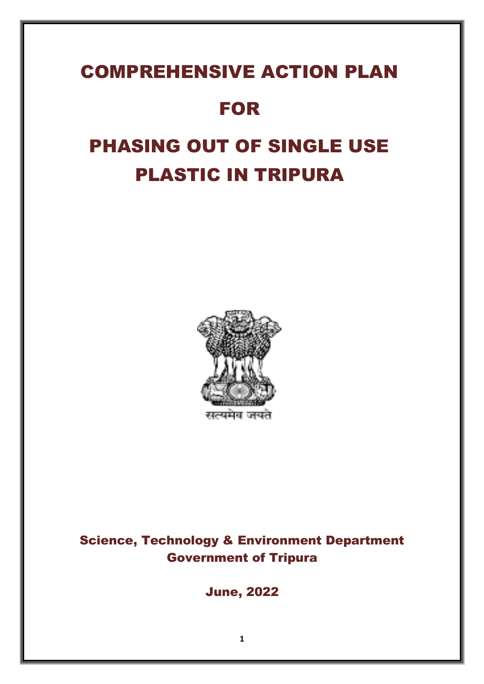# COMPREHENSIVE ACTION PLAN

# FOR

# PHASING OUT OF SINGLE USE PLASTIC IN TRIPURA



Science, Technology & Environment Department Government of Tripura

June, 2022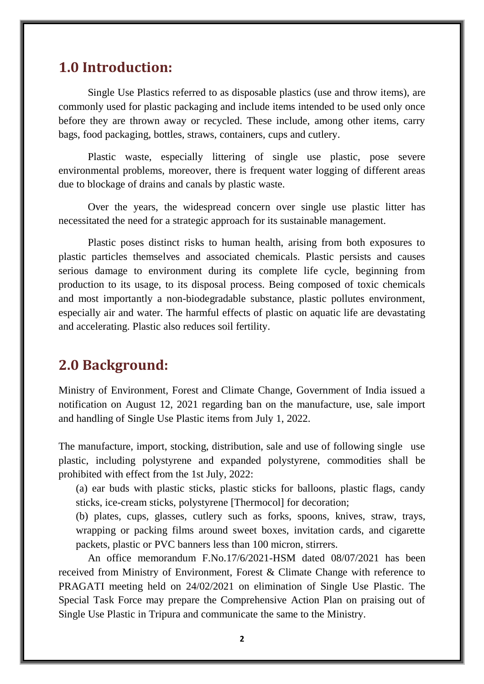#### **1.0 Introduction:**

Single Use Plastics referred to as disposable plastics (use and throw items), are commonly used for plastic packaging and include items intended to be used only once before they are thrown away or recycled. These include, among other items, carry bags, food packaging, bottles, straws, containers, cups and cutlery.

Plastic waste, especially littering of single use plastic, pose severe environmental problems, moreover, there is frequent water logging of different areas due to blockage of drains and canals by plastic waste.

Over the years, the widespread concern over single use plastic litter has necessitated the need for a strategic approach for its sustainable management.

Plastic poses distinct risks to human health, arising from both exposures to plastic particles themselves and associated chemicals. Plastic persists and causes serious damage to environment during its complete life cycle, beginning from production to its usage, to its disposal process. Being composed of toxic chemicals and most importantly a non-biodegradable substance, plastic pollutes environment, especially air and water. The harmful effects of plastic on aquatic life are devastating and accelerating. Plastic also reduces soil fertility.

#### **2.0 Background:**

Ministry of Environment, Forest and Climate Change, Government of India issued a notification on August 12, 2021 regarding ban on the manufacture, use, sale import and handling of Single Use Plastic items from July 1, 2022.

The manufacture, import, stocking, distribution, sale and use of following single use plastic, including polystyrene and expanded polystyrene, commodities shall be prohibited with effect from the 1st July, 2022:

(a) ear buds with plastic sticks, plastic sticks for balloons, plastic flags, candy sticks, ice-cream sticks, polystyrene [Thermocol] for decoration;

(b) plates, cups, glasses, cutlery such as forks, spoons, knives, straw, trays, wrapping or packing films around sweet boxes, invitation cards, and cigarette packets, plastic or PVC banners less than 100 micron, stirrers.

An office memorandum F.No.17/6/2021-HSM dated 08/07/2021 has been received from Ministry of Environment, Forest & Climate Change with reference to PRAGATI meeting held on 24/02/2021 on elimination of Single Use Plastic. The Special Task Force may prepare the Comprehensive Action Plan on praising out of Single Use Plastic in Tripura and communicate the same to the Ministry.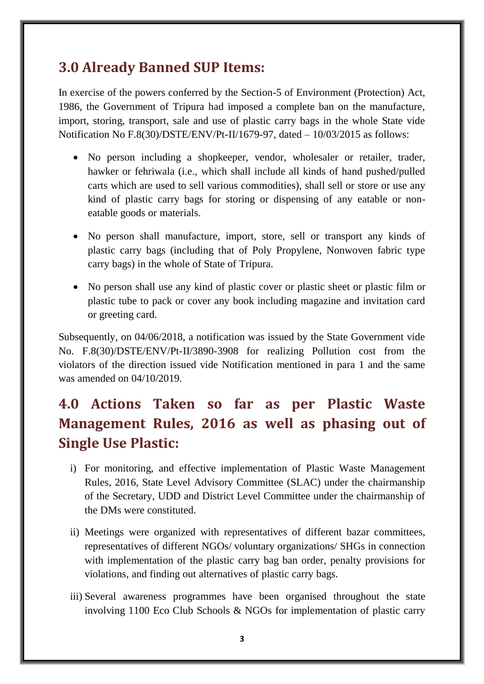### **3.0 Already Banned SUP Items:**

In exercise of the powers conferred by the Section-5 of Environment (Protection) Act, 1986, the Government of Tripura had imposed a complete ban on the manufacture, import, storing, transport, sale and use of plastic carry bags in the whole State vide Notification No F.8(30)/DSTE/ENV/Pt-II/1679-97, dated – 10/03/2015 as follows:

- No person including a shopkeeper, vendor, wholesaler or retailer, trader, hawker or fehriwala (i.e., which shall include all kinds of hand pushed/pulled carts which are used to sell various commodities), shall sell or store or use any kind of plastic carry bags for storing or dispensing of any eatable or noneatable goods or materials.
- No person shall manufacture, import, store, sell or transport any kinds of plastic carry bags (including that of Poly Propylene, Nonwoven fabric type carry bags) in the whole of State of Tripura.
- No person shall use any kind of plastic cover or plastic sheet or plastic film or plastic tube to pack or cover any book including magazine and invitation card or greeting card.

Subsequently, on 04/06/2018, a notification was issued by the State Government vide No. F.8(30)/DSTE/ENV/Pt-II/3890-3908 for realizing Pollution cost from the violators of the direction issued vide Notification mentioned in para 1 and the same was amended on 04/10/2019.

## **4.0 Actions Taken so far as per Plastic Waste Management Rules, 2016 as well as phasing out of Single Use Plastic:**

- i) For monitoring, and effective implementation of Plastic Waste Management Rules, 2016, State Level Advisory Committee (SLAC) under the chairmanship of the Secretary, UDD and District Level Committee under the chairmanship of the DMs were constituted.
- ii) Meetings were organized with representatives of different bazar committees, representatives of different NGOs/ voluntary organizations/ SHGs in connection with implementation of the plastic carry bag ban order, penalty provisions for violations, and finding out alternatives of plastic carry bags.
- iii) Several awareness programmes have been organised throughout the state involving 1100 Eco Club Schools & NGOs for implementation of plastic carry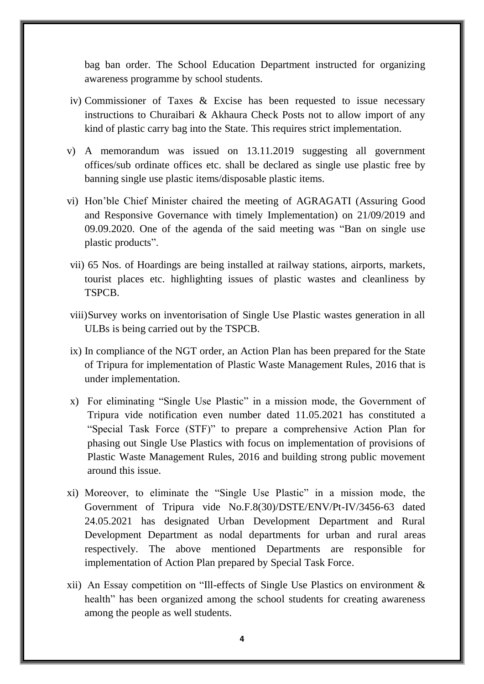bag ban order. The School Education Department instructed for organizing awareness programme by school students.

- iv) Commissioner of Taxes & Excise has been requested to issue necessary instructions to Churaibari & Akhaura Check Posts not to allow import of any kind of plastic carry bag into the State. This requires strict implementation.
- v) A memorandum was issued on 13.11.2019 suggesting all government offices/sub ordinate offices etc. shall be declared as single use plastic free by banning single use plastic items/disposable plastic items.
- vi) Hon'ble Chief Minister chaired the meeting of AGRAGATI (Assuring Good and Responsive Governance with timely Implementation) on 21/09/2019 and 09.09.2020. One of the agenda of the said meeting was "Ban on single use plastic products".
- vii) 65 Nos. of Hoardings are being installed at railway stations, airports, markets, tourist places etc. highlighting issues of plastic wastes and cleanliness by TSPCB.
- viii)Survey works on inventorisation of Single Use Plastic wastes generation in all ULBs is being carried out by the TSPCB.
- ix) In compliance of the NGT order, an Action Plan has been prepared for the State of Tripura for implementation of Plastic Waste Management Rules, 2016 that is under implementation.
- x) For eliminating "Single Use Plastic" in a mission mode, the Government of Tripura vide notification even number dated 11.05.2021 has constituted a "Special Task Force (STF)" to prepare a comprehensive Action Plan for phasing out Single Use Plastics with focus on implementation of provisions of Plastic Waste Management Rules, 2016 and building strong public movement around this issue.
- xi) Moreover, to eliminate the "Single Use Plastic" in a mission mode, the Government of Tripura vide No.F.8(30)/DSTE/ENV/Pt-IV/3456-63 dated 24.05.2021 has designated Urban Development Department and Rural Development Department as nodal departments for urban and rural areas respectively. The above mentioned Departments are responsible for implementation of Action Plan prepared by Special Task Force.
- xii) An Essay competition on "Ill-effects of Single Use Plastics on environment & health" has been organized among the school students for creating awareness among the people as well students.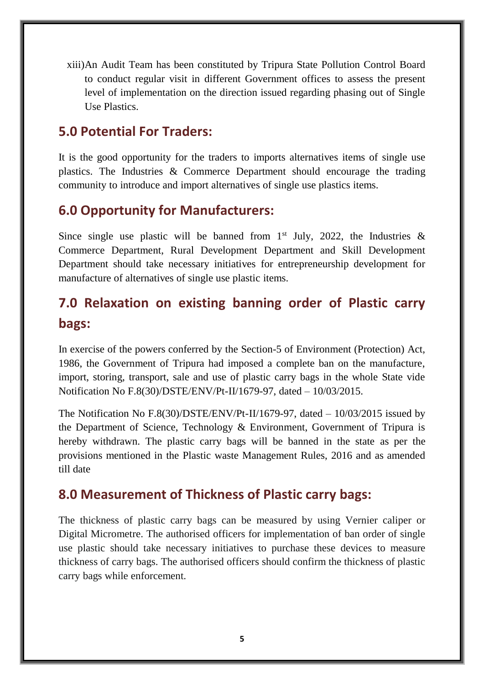xiii)An Audit Team has been constituted by Tripura State Pollution Control Board to conduct regular visit in different Government offices to assess the present level of implementation on the direction issued regarding phasing out of Single Use Plastics.

#### **5.0 Potential For Traders:**

It is the good opportunity for the traders to imports alternatives items of single use plastics. The Industries & Commerce Department should encourage the trading community to introduce and import alternatives of single use plastics items.

#### **6.0 Opportunity for Manufacturers:**

Since single use plastic will be banned from  $1<sup>st</sup>$  July, 2022, the Industries & Commerce Department, Rural Development Department and Skill Development Department should take necessary initiatives for entrepreneurship development for manufacture of alternatives of single use plastic items.

## **7.0 Relaxation on existing banning order of Plastic carry bags:**

In exercise of the powers conferred by the Section-5 of Environment (Protection) Act, 1986, the Government of Tripura had imposed a complete ban on the manufacture, import, storing, transport, sale and use of plastic carry bags in the whole State vide Notification No F.8(30)/DSTE/ENV/Pt-II/1679-97, dated – 10/03/2015.

The Notification No F.8(30)/DSTE/ENV/Pt-II/1679-97, dated  $-10/03/2015$  issued by the Department of Science, Technology & Environment, Government of Tripura is hereby withdrawn. The plastic carry bags will be banned in the state as per the provisions mentioned in the Plastic waste Management Rules, 2016 and as amended till date

#### **8.0 Measurement of Thickness of Plastic carry bags:**

The thickness of plastic carry bags can be measured by using Vernier caliper or Digital Micrometre. The authorised officers for implementation of ban order of single use plastic should take necessary initiatives to purchase these devices to measure thickness of carry bags. The authorised officers should confirm the thickness of plastic carry bags while enforcement.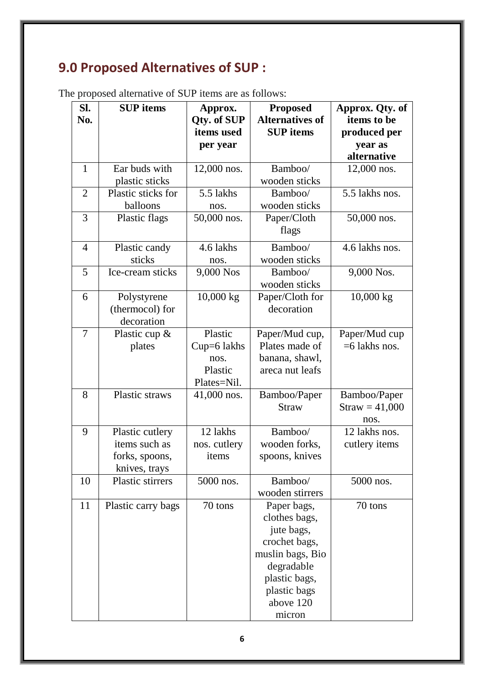# **9.0 Proposed Alternatives of SUP :**

|  |  |  | The proposed alternative of SUP items are as follows: |
|--|--|--|-------------------------------------------------------|
|--|--|--|-------------------------------------------------------|

| SI.<br>No.     | <b>SUP</b> items                                                    | Approx.<br>Qty. of SUP                                     | <b>Proposed</b><br><b>Alternatives of</b>                                                                                                             | Approx. Qty. of<br>items to be           |
|----------------|---------------------------------------------------------------------|------------------------------------------------------------|-------------------------------------------------------------------------------------------------------------------------------------------------------|------------------------------------------|
|                |                                                                     | items used                                                 | <b>SUP</b> items                                                                                                                                      | produced per                             |
|                |                                                                     | per year                                                   |                                                                                                                                                       | year as<br>alternative                   |
| $\mathbf{1}$   | Ear buds with<br>plastic sticks                                     | $12,000$ nos.                                              | Bamboo/<br>wooden sticks                                                                                                                              | 12,000 nos.                              |
| $\overline{2}$ | Plastic sticks for<br>balloons                                      | 5.5 lakhs<br>nos.                                          | Bamboo/<br>wooden sticks                                                                                                                              | 5.5 lakhs nos.                           |
| 3              | Plastic flags                                                       | 50,000 nos.                                                | Paper/Cloth<br>flags                                                                                                                                  | 50,000 nos.                              |
| $\overline{4}$ | Plastic candy<br>sticks                                             | 4.6 lakhs<br>nos.                                          | Bamboo/<br>wooden sticks                                                                                                                              | 4.6 lakhs nos.                           |
| 5              | Ice-cream sticks                                                    | 9,000 Nos                                                  | Bamboo/<br>wooden sticks                                                                                                                              | 9,000 Nos.                               |
| 6              | Polystyrene<br>(thermocol) for<br>decoration                        | $10,000$ kg                                                | Paper/Cloth for<br>decoration                                                                                                                         | 10,000 kg                                |
| $\overline{7}$ | Plastic cup $\&$<br>plates                                          | Plastic<br>$Cup=6$ lakhs<br>nos.<br>Plastic<br>Plates=Nil. | Paper/Mud cup,<br>Plates made of<br>banana, shawl,<br>areca nut leafs                                                                                 | Paper/Mud cup<br>$=6$ lakhs nos.         |
| 8              | Plastic straws                                                      | 41,000 nos.                                                | Bamboo/Paper<br><b>Straw</b>                                                                                                                          | Bamboo/Paper<br>$Straw = 41,000$<br>nos. |
| 9              | Plastic cutlery<br>items such as<br>forks, spoons,<br>knives, trays | 12 lakhs<br>nos. cutlery<br>items                          | Bamboo/<br>wooden forks,<br>spoons, knives                                                                                                            | 12 lakhs nos.<br>cutlery items           |
| 10             | Plastic stirrers                                                    | 5000 nos.                                                  | Bamboo/<br>wooden stirrers                                                                                                                            | 5000 nos.                                |
| 11             | Plastic carry bags                                                  | 70 tons                                                    | Paper bags,<br>clothes bags,<br>jute bags,<br>crochet bags,<br>muslin bags, Bio<br>degradable<br>plastic bags,<br>plastic bags<br>above 120<br>micron | 70 tons                                  |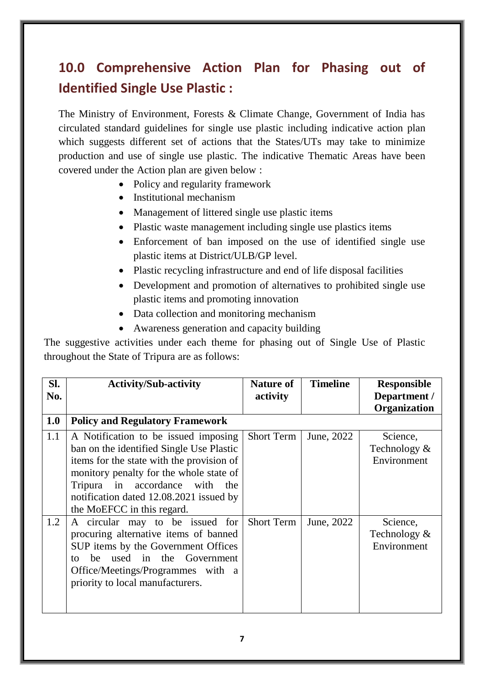## **10.0 Comprehensive Action Plan for Phasing out of Identified Single Use Plastic :**

The Ministry of Environment, Forests & Climate Change, Government of India has circulated standard guidelines for single use plastic including indicative action plan which suggests different set of actions that the States/UTs may take to minimize production and use of single use plastic. The indicative Thematic Areas have been covered under the Action plan are given below :

- Policy and regularity framework
- Institutional mechanism
- Management of littered single use plastic items
- Plastic waste management including single use plastics items
- Enforcement of ban imposed on the use of identified single use plastic items at District/ULB/GP level.
- Plastic recycling infrastructure and end of life disposal facilities
- Development and promotion of alternatives to prohibited single use plastic items and promoting innovation
- Data collection and monitoring mechanism
- Awareness generation and capacity building

The suggestive activities under each theme for phasing out of Single Use of Plastic throughout the State of Tripura are as follows:

| Sl.<br>No. | <b>Activity/Sub-activity</b>                                                                                                                                                                                                                                                        | <b>Nature of</b><br>activity | <b>Timeline</b> | <b>Responsible</b><br>Department /<br>Organization |
|------------|-------------------------------------------------------------------------------------------------------------------------------------------------------------------------------------------------------------------------------------------------------------------------------------|------------------------------|-----------------|----------------------------------------------------|
| 1.0        | <b>Policy and Regulatory Framework</b>                                                                                                                                                                                                                                              |                              |                 |                                                    |
| 1.1        | A Notification to be issued imposing<br>ban on the identified Single Use Plastic<br>items for the state with the provision of<br>monitory penalty for the whole state of<br>Tripura in accordance with the<br>notification dated 12.08.2021 issued by<br>the MoEFCC in this regard. | <b>Short Term</b>            | June, 2022      | Science,<br>Technology &<br>Environment            |
| 1.2        | A circular may to be issued for<br>procuring alternative items of banned<br>SUP items by the Government Offices<br>used in the Government<br>he.<br>tΩ<br>Office/Meetings/Programmes with a<br>priority to local manufacturers.                                                     | <b>Short Term</b>            | June, 2022      | Science,<br>Technology &<br>Environment            |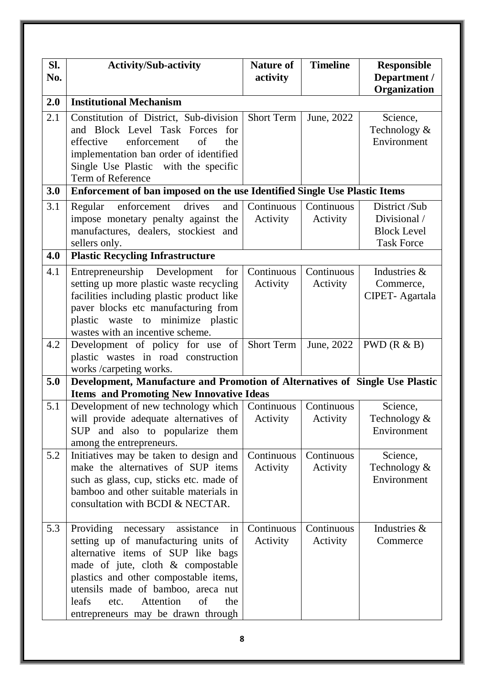| SI.<br>No. | <b>Activity/Sub-activity</b>                                                                                                                                                                                                                                                                                                  | <b>Nature of</b><br>activity | <b>Timeline</b>               | <b>Responsible</b><br>Department /<br>Organization                       |
|------------|-------------------------------------------------------------------------------------------------------------------------------------------------------------------------------------------------------------------------------------------------------------------------------------------------------------------------------|------------------------------|-------------------------------|--------------------------------------------------------------------------|
| 2.0        | <b>Institutional Mechanism</b>                                                                                                                                                                                                                                                                                                |                              |                               |                                                                          |
| 2.1        | Constitution of District, Sub-division<br>and Block Level Task Forces<br>for<br>enforcement<br>of<br>effective<br>the<br>implementation ban order of identified<br>Single Use Plastic with the specific<br>Term of Reference                                                                                                  | <b>Short Term</b>            | June, 2022                    | Science,<br>Technology &<br>Environment                                  |
| 3.0        | Enforcement of ban imposed on the use Identified Single Use Plastic Items                                                                                                                                                                                                                                                     |                              |                               |                                                                          |
| 3.1        | drives<br>enforcement<br>and<br>Regular<br>impose monetary penalty against the<br>manufactures, dealers, stockiest and<br>sellers only.                                                                                                                                                                                       | Continuous<br>Activity       | Continuous<br>Activity        | District /Sub<br>Divisional /<br><b>Block Level</b><br><b>Task Force</b> |
| 4.0        | <b>Plastic Recycling Infrastructure</b>                                                                                                                                                                                                                                                                                       |                              |                               |                                                                          |
| 4.1        | Entrepreneurship Development<br>for<br>setting up more plastic waste recycling<br>facilities including plastic product like<br>paver blocks etc manufacturing from<br>plastic waste to minimize plastic<br>wastes with an incentive scheme.                                                                                   | Continuous<br>Activity       | Continuous<br>Activity        | Industries &<br>Commerce,<br>CIPET-Agartala                              |
| 4.2        | Development of policy for use of<br>plastic wastes in road construction<br>works /carpeting works.                                                                                                                                                                                                                            | Short Term                   | June, 2022                    | $PWD$ ( $R & B$ )                                                        |
| 5.0        | Development, Manufacture and Promotion of Alternatives of Single Use Plastic<br><b>Items and Promoting New Innovative Ideas</b>                                                                                                                                                                                               |                              |                               |                                                                          |
| 5.1        | Development of new technology which   Continuous  <br>will provide adequate alternatives of<br>SUP and also to popularize them<br>among the entrepreneurs.                                                                                                                                                                    | Activity                     | <b>Continuous</b><br>Activity | Science,<br>Technology &<br>Environment                                  |
| 5.2        | Initiatives may be taken to design and<br>make the alternatives of SUP items<br>such as glass, cup, sticks etc. made of<br>bamboo and other suitable materials in<br>consultation with BCDI & NECTAR.                                                                                                                         | Continuous<br>Activity       | Continuous<br>Activity        | Science,<br>Technology &<br>Environment                                  |
| 5.3        | Providing<br>necessary<br>assistance<br>in<br>setting up of manufacturing units of<br>alternative items of SUP like bags<br>made of jute, cloth & compostable<br>plastics and other compostable items,<br>utensils made of bamboo, areca nut<br>Attention<br>leafs<br>of<br>the<br>etc.<br>entrepreneurs may be drawn through | Continuous<br>Activity       | Continuous<br>Activity        | Industries &<br>Commerce                                                 |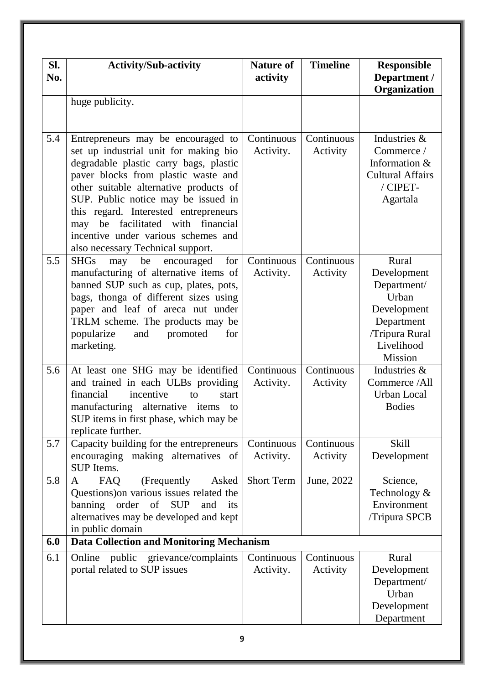| SI.<br>No. | <b>Activity/Sub-activity</b>                                                                                                                                                                                                                                                                                                                                                                                     | <b>Nature of</b><br>activity | <b>Timeline</b>        | Responsible<br>Department /<br>Organization                                                                          |
|------------|------------------------------------------------------------------------------------------------------------------------------------------------------------------------------------------------------------------------------------------------------------------------------------------------------------------------------------------------------------------------------------------------------------------|------------------------------|------------------------|----------------------------------------------------------------------------------------------------------------------|
|            | huge publicity.                                                                                                                                                                                                                                                                                                                                                                                                  |                              |                        |                                                                                                                      |
| 5.4        | Entrepreneurs may be encouraged to<br>set up industrial unit for making bio<br>degradable plastic carry bags, plastic<br>paver blocks from plastic waste and<br>other suitable alternative products of<br>SUP. Public notice may be issued in<br>this regard. Interested entrepreneurs<br>financial<br>facilitated with<br>be<br>may<br>incentive under various schemes and<br>also necessary Technical support. | Continuous<br>Activity.      | Continuous<br>Activity | Industries &<br>Commerce /<br>Information &<br><b>Cultural Affairs</b><br>/ CIPET-<br>Agartala                       |
| 5.5        | <b>SHGs</b><br>be<br>for<br>may<br>encouraged<br>manufacturing of alternative items of<br>banned SUP such as cup, plates, pots,<br>bags, thonga of different sizes using<br>paper and leaf of areca nut under<br>TRLM scheme. The products may be<br>popularize<br>promoted<br>and<br>for<br>marketing.                                                                                                          | Continuous<br>Activity.      | Continuous<br>Activity | Rural<br>Development<br>Department/<br>Urban<br>Development<br>Department<br>/Tripura Rural<br>Livelihood<br>Mission |
| 5.6        | At least one SHG may be identified<br>and trained in each ULBs providing<br>financial<br>incentive<br>to<br>start<br>manufacturing alternative items<br>to<br>SUP items in first phase, which may be<br>replicate further.                                                                                                                                                                                       | Continuous<br>Activity.      | Continuous<br>Activity | Industries &<br>Commerce /All<br>Urban Local<br><b>Bodies</b>                                                        |
| 5.7        | Capacity building for the entrepreneurs<br>encouraging making alternatives of<br><b>SUP</b> Items.                                                                                                                                                                                                                                                                                                               | Continuous<br>Activity.      | Continuous<br>Activity | <b>Skill</b><br>Development                                                                                          |
| 5.8        | (Frequently<br>FAQ<br>Asked<br>A<br>Questions) on various issues related the<br>banning order of SUP<br>and<br>its<br>alternatives may be developed and kept<br>in public domain                                                                                                                                                                                                                                 | <b>Short Term</b>            | June, 2022             | Science,<br>Technology &<br>Environment<br>/Tripura SPCB                                                             |
| 6.0        | <b>Data Collection and Monitoring Mechanism</b>                                                                                                                                                                                                                                                                                                                                                                  |                              |                        |                                                                                                                      |
| 6.1        | public grievance/complaints<br>Online<br>portal related to SUP issues                                                                                                                                                                                                                                                                                                                                            | Continuous<br>Activity.      | Continuous<br>Activity | Rural<br>Development<br>Department/<br>Urban<br>Development<br>Department                                            |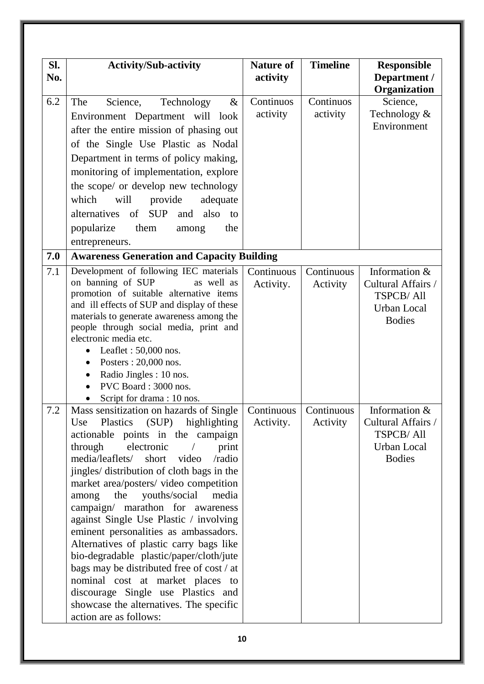| SI. | <b>Activity/Sub-activity</b>                                                                              | <b>Nature of</b> | <b>Timeline</b> | <b>Responsible</b>                  |
|-----|-----------------------------------------------------------------------------------------------------------|------------------|-----------------|-------------------------------------|
| No. |                                                                                                           | activity         |                 | Department /<br>Organization        |
| 6.2 | Science,<br>Technology<br>The<br>$\&$                                                                     | Continuos        | Continuos       | Science,                            |
|     |                                                                                                           | activity         | activity        | Technology &                        |
|     | Environment Department will look                                                                          |                  |                 | Environment                         |
|     | after the entire mission of phasing out                                                                   |                  |                 |                                     |
|     | of the Single Use Plastic as Nodal                                                                        |                  |                 |                                     |
|     | Department in terms of policy making,                                                                     |                  |                 |                                     |
|     | monitoring of implementation, explore                                                                     |                  |                 |                                     |
|     | the scope/ or develop new technology                                                                      |                  |                 |                                     |
|     | which<br>will<br>provide<br>adequate                                                                      |                  |                 |                                     |
|     | alternatives<br>of SUP<br>also<br>and<br>to                                                               |                  |                 |                                     |
|     | popularize<br>them<br>the<br>among                                                                        |                  |                 |                                     |
|     | entrepreneurs.                                                                                            |                  |                 |                                     |
| 7.0 | <b>Awareness Generation and Capacity Building</b>                                                         |                  |                 |                                     |
|     |                                                                                                           |                  |                 |                                     |
| 7.1 | Development of following IEC materials<br>on banning of SUP<br>as well as                                 | Continuous       | Continuous      | Information &<br>Cultural Affairs / |
|     | promotion of suitable alternative items                                                                   | Activity.        | Activity        | <b>TSPCB/All</b>                    |
|     | and ill effects of SUP and display of these                                                               |                  |                 | Urban Local                         |
|     | materials to generate awareness among the                                                                 |                  |                 | <b>Bodies</b>                       |
|     | people through social media, print and                                                                    |                  |                 |                                     |
|     | electronic media etc.                                                                                     |                  |                 |                                     |
|     | Leaflet: $50,000$ nos.                                                                                    |                  |                 |                                     |
|     | Posters: 20,000 nos.                                                                                      |                  |                 |                                     |
|     | Radio Jingles : 10 nos.                                                                                   |                  |                 |                                     |
|     | PVC Board: 3000 nos.                                                                                      |                  |                 |                                     |
|     | Script for drama : 10 nos.                                                                                |                  |                 |                                     |
| 7.2 | Mass sensitization on hazards of Single   Continuous   Continuous  <br>Plastics (SUP) highlighting<br>Use | Activity.        | Activity        | Information &<br>Cultural Affairs / |
|     | actionable points in the campaign                                                                         |                  |                 | <b>TSPCB/All</b>                    |
|     | through<br>electronic<br>print<br>$\frac{1}{2}$                                                           |                  |                 | <b>Urban Local</b>                  |
|     | media/leaflets/ short video<br>/radio                                                                     |                  |                 | <b>Bodies</b>                       |
|     | jingles/ distribution of cloth bags in the                                                                |                  |                 |                                     |
|     | market area/posters/ video competition                                                                    |                  |                 |                                     |
|     | the<br>youths/social<br>media<br>among                                                                    |                  |                 |                                     |
|     | campaign/ marathon for awareness                                                                          |                  |                 |                                     |
|     | against Single Use Plastic / involving                                                                    |                  |                 |                                     |
|     | eminent personalities as ambassadors.                                                                     |                  |                 |                                     |
|     | Alternatives of plastic carry bags like                                                                   |                  |                 |                                     |
|     | bio-degradable plastic/paper/cloth/jute                                                                   |                  |                 |                                     |
|     | bags may be distributed free of cost / at                                                                 |                  |                 |                                     |
|     | nominal cost at market places to                                                                          |                  |                 |                                     |
|     | discourage Single use Plastics and                                                                        |                  |                 |                                     |
|     | showcase the alternatives. The specific                                                                   |                  |                 |                                     |
|     | action are as follows:                                                                                    |                  |                 |                                     |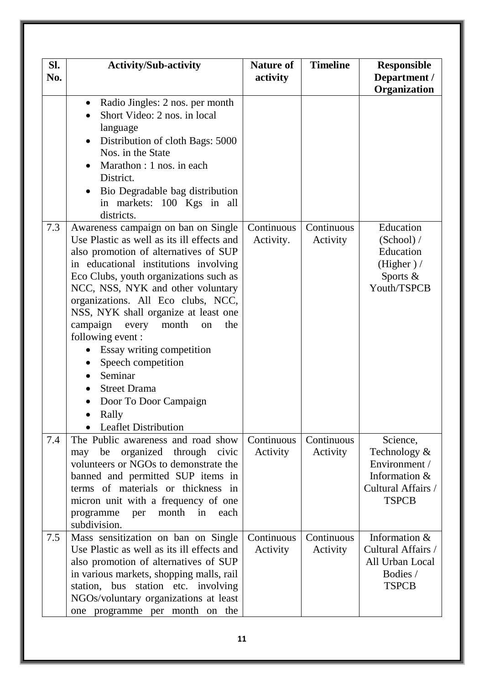| SI.<br>No. | <b>Activity/Sub-activity</b>                                                                                                                                                                                                                                                                                                                                                                                                                                                                                                                                        | <b>Nature of</b><br>activity | <b>Timeline</b>        | <b>Responsible</b><br>Department /<br>Organization                                               |
|------------|---------------------------------------------------------------------------------------------------------------------------------------------------------------------------------------------------------------------------------------------------------------------------------------------------------------------------------------------------------------------------------------------------------------------------------------------------------------------------------------------------------------------------------------------------------------------|------------------------------|------------------------|--------------------------------------------------------------------------------------------------|
|            | Radio Jingles: 2 nos. per month<br>Short Video: 2 nos. in local<br>language<br>Distribution of cloth Bags: 5000<br>$\bullet$<br>Nos. in the State<br>Marathon : 1 nos. in each<br>District.<br>Bio Degradable bag distribution<br>in markets: 100 Kgs in all<br>districts.                                                                                                                                                                                                                                                                                          |                              |                        |                                                                                                  |
| 7.3        | Awareness campaign on ban on Single<br>Use Plastic as well as its ill effects and<br>also promotion of alternatives of SUP<br>in educational institutions involving<br>Eco Clubs, youth organizations such as<br>NCC, NSS, NYK and other voluntary<br>organizations. All Eco clubs, NCC,<br>NSS, NYK shall organize at least one<br>campaign<br>month<br>the<br>every<br>on<br>following event :<br>Essay writing competition<br>Speech competition<br>Seminar<br>$\bullet$<br><b>Street Drama</b><br>Door To Door Campaign<br>Rally<br><b>Leaflet Distribution</b> | Continuous<br>Activity.      | Continuous<br>Activity | Education<br>(School) /<br>Education<br>(Higher) /<br>Sports &<br>Youth/TSPCB                    |
| 7.4        | The Public awareness and road show<br>organized through<br>be<br>civic<br>may<br>volunteers or NGOs to demonstrate the<br>banned and permitted SUP items in<br>terms of materials or thickness in<br>micron unit with a frequency of one<br>month<br>in<br>programme<br>each<br>per<br>subdivision.                                                                                                                                                                                                                                                                 | Continuous<br>Activity       | Continuous<br>Activity | Science,<br>Technology &<br>Environment /<br>Information &<br>Cultural Affairs /<br><b>TSPCB</b> |
| 7.5        | Mass sensitization on ban on Single<br>Use Plastic as well as its ill effects and<br>also promotion of alternatives of SUP<br>in various markets, shopping malls, rail<br>station, bus station etc. involving<br>NGOs/voluntary organizations at least<br>one programme per month on the                                                                                                                                                                                                                                                                            | Continuous<br>Activity       | Continuous<br>Activity | Information &<br>Cultural Affairs /<br>All Urban Local<br>Bodies /<br><b>TSPCB</b>               |